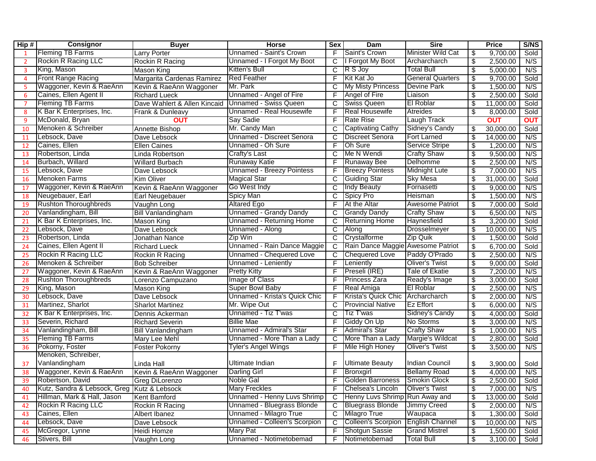| Hip#          | Consignor                    | <b>Buyer</b>                 | <b>Horse</b>                     | <b>Sex</b> | Dam                                | <b>Sire</b>             |                                  | <b>Price</b> | S/NS       |
|---------------|------------------------------|------------------------------|----------------------------------|------------|------------------------------------|-------------------------|----------------------------------|--------------|------------|
|               | <b>Fleming TB Farms</b>      | <b>Larry Porter</b>          | Unnamed - Saint's Crown          | F          | Saint's Crown                      | Minister Wild Cat       | \$                               | 9,700.00     | Sold       |
| $\mathcal{P}$ | Rockin R Racing LLC          | Rockin R Racing              | Unnamed - I Forgot My Boot       | C          | I Forgot My Boot                   | Archarcharch            | \$                               | 2,500.00     | N/S        |
| 3             | King, Mason                  | Mason King                   | <b>Kitten's Bull</b>             | C          | R S Joy                            | <b>Total Bull</b>       | \$                               | 5,000.00     | N/S        |
| 4             | <b>Front Range Racing</b>    | Margarita Cardenas Ramirez   | <b>Red Feather</b>               | F          | Kit Kat Jo                         | <b>General Quarters</b> | \$                               | 9,700.00     | Sold       |
| 5             | Waggoner, Kevin & RaeAnn     | Kevin & RaeAnn Waggoner      | Mr. Park                         | С          | My Misty Princess                  | <b>Devine Park</b>      | \$                               | 1,500.00     | N/S        |
| 6             | Caines, Ellen Agent II       | <b>Richard Lueck</b>         | Unnamed - Angel of Fire          | F          | Angel of Fire                      | Liaison                 | \$                               | 2,500.00     | Sold       |
| -7            | <b>Fleming TB Farms</b>      | Dave Wahlert & Allen Kincaid | Unnamed - Swiss Queen            | C          | <b>Swiss Queen</b>                 | <b>El Roblar</b>        | \$                               | 11,000.00    | Sold       |
| 8             | K Bar K Enterprises, Inc.    | Frank & Dunleavy             | Unnamed - Real Housewife         | F          | <b>Real Housewife</b>              | Atreides                | \$                               | 8,000.00     | Sold       |
| q             | McDonald, Bryan              | <b>OUT</b>                   | Say Sadie                        | F          | <b>Rate Rise</b>                   | Laugh Track             |                                  | <b>OUT</b>   | <b>OUT</b> |
| 10            | Menoken & Schreiber          | Annette Bishop               | Mr. Candy Man                    | C          | <b>Captivating Cathy</b>           | Sidney's Candy          | \$                               | 30,000.00    | Sold       |
| 11            | Lebsock, Dave                | Dave Lebsock                 | Unnamed - Discreet Senora        | С          | <b>Discreet Senora</b>             | Fort Larned             | \$                               | 14,000.00    | N/S        |
| 12            | Caines, Ellen                | <b>Ellen Caines</b>          | Unnamed - Oh Sure                | F          | Oh Sure                            | <b>Service Stripe</b>   | $\overline{\boldsymbol{\theta}}$ | 1,200.00     | N/S        |
| 13            | Robertson, Linda             | Linda Robertson              | Crafty's Last                    | C          | Me N Wendi                         | <b>Crafty Shaw</b>      | \$                               | 9,500.00     | N/S        |
| 14            | Burbach, Willard             | <b>Willard Burbach</b>       | <b>Runaway Katie</b>             | F          | <b>Runaway Bee</b>                 | Delhomme                | \$                               | 2,500.00     | N/S        |
| 15            | Lebsock, Dave                | Dave Lebsock                 | <b>Unnamed - Breezy Pointess</b> | F          | <b>Breezy Pointess</b>             | <b>Midnight Lute</b>    | \$                               | 7,000.00     | N/S        |
| 16            | <b>Menoken Farms</b>         | <b>Kim Oliver</b>            | <b>Magical Star</b>              | C          | <b>Guiding Star</b>                | <b>Sky Mesa</b>         | \$                               | 31,000.00    | Sold       |
| 17            | Waggoner, Kevin & RaeAnn     | Kevin & RaeAnn Waggoner      | Go West Indy                     | C          | <b>Indy Beauty</b>                 | Fornasetti              | \$                               | 9,000.00     | N/S        |
| 18            | Neugebauer, Earl             | Earl Neugebauer              | <b>Spicy Man</b>                 | C          | Spicy Pro                          | Heisman                 | \$                               | 1,500.00     | N/S        |
| 19            | <b>Rushton Thoroughbreds</b> | Vaughn Long                  | <b>Altared Ego</b>               | F          | At the Altar                       | <b>Awesome Patriot</b>  | \$                               | 7,000.00     | Sold       |
| 20            | Vanlandingham, Bill          | <b>Bill Vanlandingham</b>    | Unnamed - Grandy Dandy           | С          | <b>Grandy Dandy</b>                | <b>Crafty Shaw</b>      | \$                               | 6,500.00     | N/S        |
| 21            | K Bar K Enterprises, Inc.    | <b>Mason King</b>            | Unnamed - Returning Home         | C          | <b>Returning Home</b>              | Haynesfield             | $\overline{\boldsymbol{\theta}}$ | 3,200.00     | Sold       |
| 22            | Lebsock, Dave                | Dave Lebsock                 | Unnamed - Along                  | C          | Along                              | <b>Drosselmeyer</b>     | \$                               | 10,000.00    | N/S        |
| 23            | Robertson, Linda             | Jonathan Nance               | Zip Win                          | C          | Crystalforme                       | Zip Quik                | \$                               | 1,500.00     | Sold       |
| 24            | Caines, Ellen Agent II       | <b>Richard Lueck</b>         | Unnamed - Rain Dance Maggie      | C          | Rain Dance Maggie Awesome Patriot  |                         | \$                               | 6,700.00     | Sold       |
| 25            | Rockin R Racing LLC          | Rockin R Racing              | Unnamed - Chequered Love         | C          | Chequered Love                     | Paddy O'Prado           | \$                               | 2,500.00     | N/S        |
| 26            | Menoken & Schreiber          | <b>Bob Schreiber</b>         | Unnamed - Leniently              | F          | Leniently                          | <b>Oliver's Twist</b>   | \$                               | 9,000.00     | Sold       |
| 27            | Waggoner, Kevin & RaeAnn     | Kevin & RaeAnn Waggoner      | <b>Pretty Kitty</b>              | F          | Preseli (IRE)                      | <b>Tale of Ekatie</b>   | \$                               | 7,200.00     | N/S        |
| 28            | <b>Rushton Thoroughbreds</b> | Lorenzo Campuzano            | Image of Class                   | F          | Princess Zara                      | Ready's Image           | \$                               | 3,000.00     | Sold       |
| 29            | King, Mason                  | <b>Mason King</b>            | <b>Super Bowl Baby</b>           | F          | Real Amiga                         | El Roblar               | \$                               | 2,500.00     | N/S        |
| 30            | Lebsock, Dave                | Dave Lebsock                 | Unnamed - Krista's Quick Chic    | F          | Krista's Quick Chic   Archarcharch |                         | \$                               | 2,000.00     | N/S        |
| 31            | Martinez, Sharlot            | <b>Sharlot Martinez</b>      | Mr. Wipe Out                     | C          | <b>Provincial Native</b>           | <b>Ez Effort</b>        | \$                               | 6,000.00     | N/S        |
| 32            | K Bar K Enterprises, Inc.    | Dennis Ackerman              | Unnamed - Tiz T'was              | C          | Tiz T'was                          | Sidney's Candy          | \$                               | 4,000.00     | Sold       |
| 33            | Severin, Richard             | <b>Richard Severin</b>       | <b>Billie Mae</b>                | F          | Giddy On Up                        | No Storms               | \$                               | 3,000.00     | N/S        |
| 34            | Vanlandingham, Bill          | <b>Bill Vanlandingham</b>    | Unnamed - Admiral's Star         | F          | <b>Admiral's Star</b>              | <b>Crafty Shaw</b>      | \$                               | 1,000.00     | N/S        |
| 35            | <b>Fleming TB Farms</b>      | Mary Lee Mehl                | Unnamed - More Than a Lady       | C          | More Than a Lady                   | Margie's Wildcat        | $\overline{\boldsymbol{\theta}}$ | 2,800.00     | Sold       |
| 36            | Pokorny, Foster              | Foster Pokorny               | Tyler's Angel Wings              | F          | Mile High Honey                    | <b>Oliver's Twist</b>   | \$                               | 3,500.00     | N/S        |
|               | Menoken, Schreiber,          |                              |                                  |            |                                    |                         |                                  |              |            |
| 37            | Vanlandingham                | Linda Hall                   | Ultimate Indian                  | F          | <b>Ultimate Beauty</b>             | <b>Indian Council</b>   | \$                               | 3,900.00     | Sold       |
| 38            | Waggoner, Kevin & RaeAnn     | Kevin & RaeAnn Waggoner      | <b>Darling Girl</b>              | F          | Bronxgirl                          | <b>Bellamy Road</b>     | \$                               | 4,000.00     | N/S        |
| 39            | Robertson, David             | Greg DiLorenzo               | Noble Gal                        |            | Golden Barroness                   | Smokin Glock            | \$                               | 2,500.00     | Sold       |
| 40            | Kutz, Sandra & Lebsock, Greg | Kutz & Lebsock               | <b>Mary Freckles</b>             | F          | Chelsea's Lincoln                  | <b>Oliver's Twist</b>   | \$                               | 7,000.00     | N/S        |
| 41            | Hillman, Mark & Hall, Jason  | Kent Bamford                 | Unnamed - Henny Luvs Shrimp      | C          | Henny Luvs Shrimp Run Away and     |                         | \$                               | 13,000.00    | Sold       |
| 42            | <b>Rockin R Racing LLC</b>   | Rockin R Racing              | Unnamed - Bluegrass Blonde       | C          | <b>Bluegrass Blonde</b>            | <b>Jimmy Creed</b>      | \$                               | 2,000.00     | N/S        |
| 43            | Caines, Ellen                | Albert Ibanez                | Unnamed - Milagro True           | C          | <b>Milagro True</b>                | Waupaca                 | \$                               | 1,300.00     | Sold       |
| 44            | Lebsock, Dave                | Dave Lebsock                 | Unnamed - Colleen's Scorpion     | C          | Colleen's Scorpion                 | <b>English Channel</b>  | \$                               | 10,000.00    | N/S        |
| 45            | McGregor, Lynne              | Heidi Homze                  | Mary Pat                         | F          | Shotgun Sassie                     | <b>Grand Mistrel</b>    | \$                               | 1,500.00     | Sold       |
| 46            | Stivers, Bill                | Vaughn Long                  | Unnamed - Notimetobemad          | F          | Notimetobemad                      | <b>Total Bull</b>       | \$                               | 3,100.00     | Sold       |